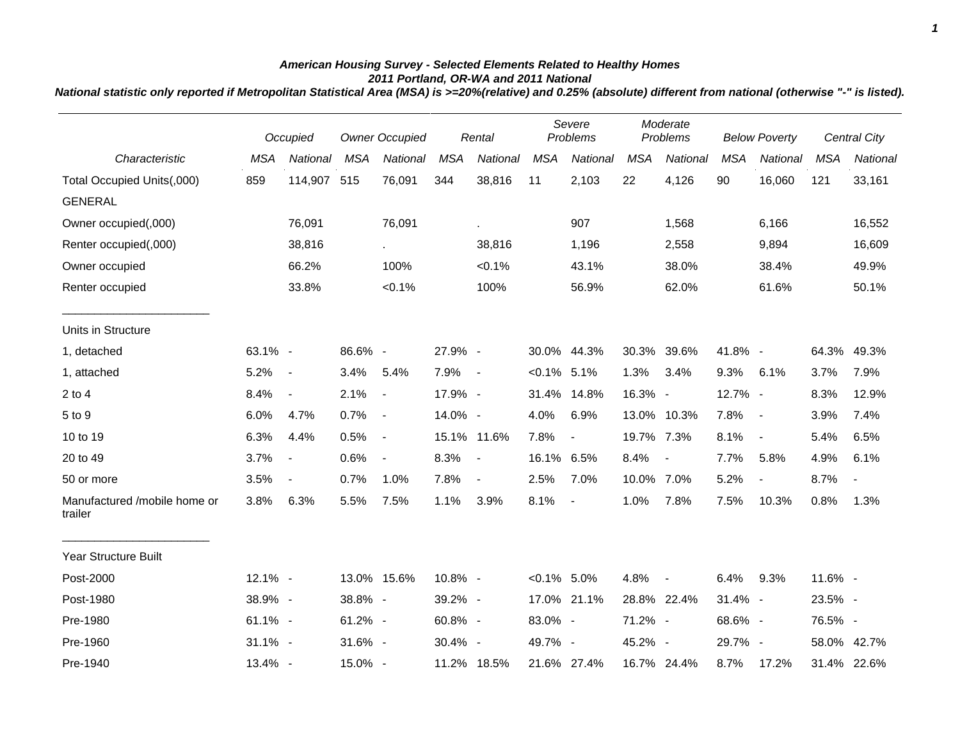## *American Housing Survey - Selected Elements Related to Healthy Homes 2011 Portland, OR-WA and 2011 National*

*National statistic only reported if Metropolitan Statistical Area (MSA) is >=20%(relative) and 0.25% (absolute) different from national (otherwise "-" is listed).*

|                                         |            | Occupied                 |            | <b>Owner Occupied</b>    |            | Rental         | Severe<br>Problems |                          | Moderate<br>Problems |                          | <b>Below Poverty</b> |                          |            | Central City    |
|-----------------------------------------|------------|--------------------------|------------|--------------------------|------------|----------------|--------------------|--------------------------|----------------------|--------------------------|----------------------|--------------------------|------------|-----------------|
| Characteristic                          | <b>MSA</b> | National                 | <b>MSA</b> | National                 | <b>MSA</b> | National       | <b>MSA</b>         | National                 | <b>MSA</b>           | National                 | <b>MSA</b>           | National                 | <b>MSA</b> | <b>National</b> |
| Total Occupied Units(,000)              | 859        | 114,907 515              |            | 76,091                   | 344        | 38,816         | 11                 | 2,103                    | 22                   | 4,126                    | 90                   | 16,060                   | 121        | 33,161          |
| <b>GENERAL</b>                          |            |                          |            |                          |            |                |                    |                          |                      |                          |                      |                          |            |                 |
| Owner occupied(,000)                    |            | 76,091                   |            | 76,091                   |            |                |                    | 907                      |                      | 1,568                    |                      | 6,166                    |            | 16,552          |
| Renter occupied(,000)                   |            | 38,816                   |            | $\mathbf{r}$             |            | 38,816         |                    | 1,196                    |                      | 2,558                    |                      | 9,894                    |            | 16,609          |
| Owner occupied                          |            | 66.2%                    |            | 100%                     |            | $< 0.1\%$      |                    | 43.1%                    |                      | 38.0%                    |                      | 38.4%                    |            | 49.9%           |
| Renter occupied                         |            | 33.8%                    |            | $< 0.1\%$                |            | 100%           |                    | 56.9%                    |                      | 62.0%                    |                      | 61.6%                    |            | 50.1%           |
| Units in Structure                      |            |                          |            |                          |            |                |                    |                          |                      |                          |                      |                          |            |                 |
| 1, detached                             | 63.1% -    |                          | 86.6% -    |                          | 27.9% -    |                |                    | 30.0% 44.3%              |                      | 30.3% 39.6%              | 41.8% -              |                          | 64.3%      | 49.3%           |
| 1, attached                             | 5.2%       | $\overline{\phantom{a}}$ | 3.4%       | 5.4%                     | 7.9%       | $\sim$ $-$     | $< 0.1\%$ 5.1%     |                          | 1.3%                 | 3.4%                     | 9.3%                 | 6.1%                     | 3.7%       | 7.9%            |
| $2$ to $4$                              | 8.4%       | $\blacksquare$           | 2.1%       | $\sim$                   | 17.9% -    |                |                    | 31.4% 14.8%              | 16.3% -              |                          | 12.7% -              |                          | 8.3%       | 12.9%           |
| 5 to 9                                  | 6.0%       | 4.7%                     | 0.7%       | $\overline{\phantom{a}}$ | 14.0% -    |                | 4.0%               | 6.9%                     |                      | 13.0% 10.3%              | 7.8%                 | $\blacksquare$           | 3.9%       | 7.4%            |
| 10 to 19                                | 6.3%       | 4.4%                     | 0.5%       | $\sim$ $-$               |            | 15.1% 11.6%    | 7.8%               | $\overline{\phantom{a}}$ | 19.7% 7.3%           |                          | 8.1%                 | $\blacksquare$           | 5.4%       | 6.5%            |
| 20 to 49                                | 3.7%       | $\blacksquare$           | 0.6%       | $\overline{\phantom{a}}$ | 8.3%       | $\blacksquare$ | 16.1% 6.5%         |                          | 8.4%                 | $\overline{\phantom{a}}$ | 7.7%                 | 5.8%                     | 4.9%       | 6.1%            |
| 50 or more                              | 3.5%       | $\overline{\phantom{a}}$ | 0.7%       | 1.0%                     | 7.8%       | $\blacksquare$ | 2.5%               | 7.0%                     | 10.0% 7.0%           |                          | 5.2%                 | $\overline{\phantom{a}}$ | 8.7%       |                 |
| Manufactured /mobile home or<br>trailer | 3.8%       | 6.3%                     | 5.5%       | 7.5%                     | 1.1%       | 3.9%           | 8.1%               | $\blacksquare$           | 1.0%                 | 7.8%                     | 7.5%                 | 10.3%                    | 0.8%       | 1.3%            |
| Year Structure Built                    |            |                          |            |                          |            |                |                    |                          |                      |                          |                      |                          |            |                 |
| Post-2000                               | 12.1% -    |                          |            | 13.0% 15.6%              | 10.8% -    |                | $< 0.1\%$ 5.0%     |                          | 4.8%                 | $\blacksquare$           | 6.4%                 | 9.3%                     | 11.6% -    |                 |
| Post-1980                               | 38.9% -    |                          | 38.8% -    |                          | 39.2% -    |                |                    | 17.0% 21.1%              |                      | 28.8% 22.4%              | $31.4\%$ -           |                          | 23.5% -    |                 |
| Pre-1980                                | 61.1% -    |                          | $61.2\%$ - |                          | 60.8% -    |                | 83.0% -            |                          | 71.2% -              |                          | 68.6% -              |                          | 76.5% -    |                 |
| Pre-1960                                | $31.1\%$ - |                          | $31.6\%$ - |                          | 30.4% -    |                | 49.7% -            |                          | 45.2% -              |                          | 29.7% -              |                          |            | 58.0% 42.7%     |
| Pre-1940                                | 13.4% -    |                          | 15.0% -    |                          |            | 11.2% 18.5%    |                    | 21.6% 27.4%              |                      | 16.7% 24.4%              | 8.7%                 | 17.2%                    |            | 31.4% 22.6%     |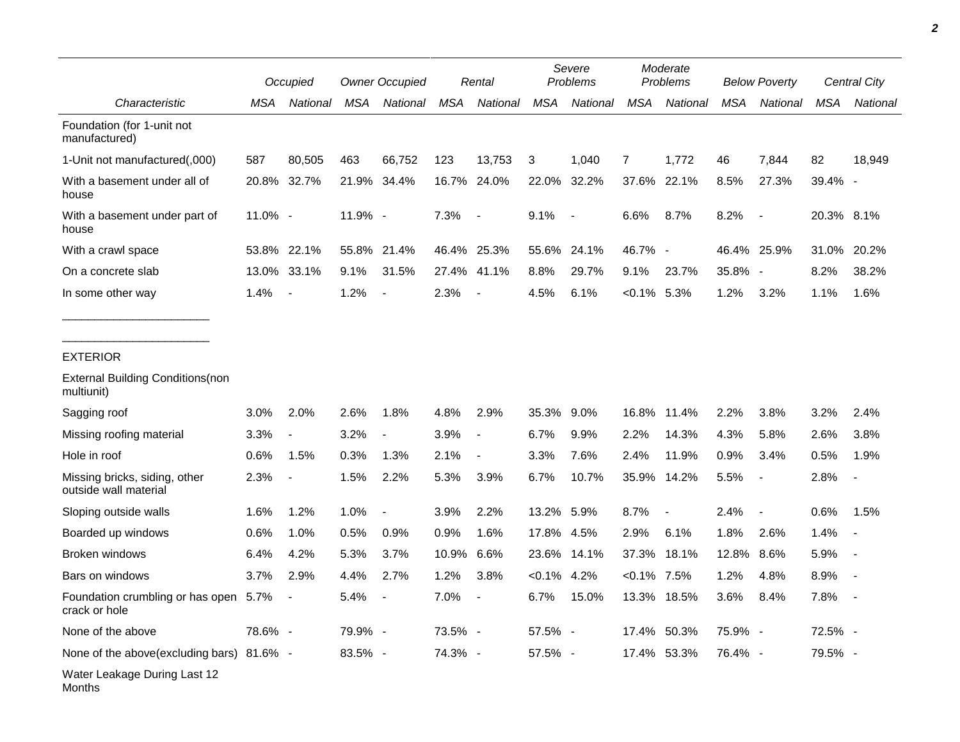|                                                        |         | Occupied                 | <b>Owner Occupied</b> |                          | Rental     |                          | Severe<br>Problems |          | Moderate<br>Problems |                          | <b>Below Poverty</b> |                          | Central City |          |
|--------------------------------------------------------|---------|--------------------------|-----------------------|--------------------------|------------|--------------------------|--------------------|----------|----------------------|--------------------------|----------------------|--------------------------|--------------|----------|
| Characteristic                                         | MSA     | National                 | MSA                   | National                 | <b>MSA</b> | National                 | <b>MSA</b>         | National | <b>MSA</b>           | National                 | <b>MSA</b>           | National                 | <b>MSA</b>   | National |
| Foundation (for 1-unit not<br>manufactured)            |         |                          |                       |                          |            |                          |                    |          |                      |                          |                      |                          |              |          |
| 1-Unit not manufactured(,000)                          | 587     | 80,505                   | 463                   | 66,752                   | 123        | 13,753                   | 3                  | 1,040    | 7                    | 1,772                    | 46                   | 7,844                    | 82           | 18,949   |
| With a basement under all of<br>house                  |         | 20.8% 32.7%              |                       | 21.9% 34.4%              |            | 16.7% 24.0%              | 22.0%              | 32.2%    | 37.6%                | 22.1%                    | 8.5%                 | 27.3%                    | 39.4% -      |          |
| With a basement under part of<br>house                 | 11.0% - |                          | 11.9% -               |                          | 7.3%       | $\blacksquare$           | 9.1%               | $\sim$   | 6.6%                 | 8.7%                     | 8.2%                 | $\overline{\phantom{a}}$ | 20.3% 8.1%   |          |
| With a crawl space                                     | 53.8%   | 22.1%                    | 55.8%                 | 21.4%                    |            | 46.4% 25.3%              | 55.6%              | 24.1%    | 46.7% -              |                          |                      | 46.4% 25.9%              | 31.0%        | 20.2%    |
| On a concrete slab                                     |         | 13.0% 33.1%              | 9.1%                  | 31.5%                    | 27.4%      | 41.1%                    | 8.8%               | 29.7%    | 9.1%                 | 23.7%                    | 35.8% -              |                          | 8.2%         | 38.2%    |
| In some other way                                      | 1.4%    | $\overline{\phantom{a}}$ | 1.2%                  | $\overline{\phantom{a}}$ | 2.3%       | $\overline{\phantom{a}}$ | 4.5%               | 6.1%     | $< 0.1\%$ 5.3%       |                          | 1.2%                 | 3.2%                     | 1.1%         | 1.6%     |
| <b>EXTERIOR</b>                                        |         |                          |                       |                          |            |                          |                    |          |                      |                          |                      |                          |              |          |
| <b>External Building Conditions (non</b><br>multiunit) |         |                          |                       |                          |            |                          |                    |          |                      |                          |                      |                          |              |          |
| Sagging roof                                           | 3.0%    | 2.0%                     | 2.6%                  | 1.8%                     | 4.8%       | 2.9%                     | 35.3%              | 9.0%     | 16.8%                | 11.4%                    | 2.2%                 | 3.8%                     | 3.2%         | 2.4%     |
| Missing roofing material                               | 3.3%    | $\overline{\phantom{a}}$ | 3.2%                  | $\overline{\phantom{a}}$ | 3.9%       | $\overline{\phantom{a}}$ | 6.7%               | 9.9%     | 2.2%                 | 14.3%                    | 4.3%                 | 5.8%                     | 2.6%         | 3.8%     |
| Hole in roof                                           | 0.6%    | 1.5%                     | 0.3%                  | 1.3%                     | 2.1%       | $\overline{\phantom{a}}$ | 3.3%               | 7.6%     | 2.4%                 | 11.9%                    | 0.9%                 | 3.4%                     | 0.5%         | 1.9%     |
| Missing bricks, siding, other<br>outside wall material | 2.3%    | $\overline{\phantom{a}}$ | 1.5%                  | 2.2%                     | 5.3%       | 3.9%                     | 6.7%               | 10.7%    | 35.9%                | 14.2%                    | 5.5%                 | $\blacksquare$           | 2.8%         |          |
| Sloping outside walls                                  | 1.6%    | 1.2%                     | 1.0%                  | $\overline{\phantom{a}}$ | 3.9%       | 2.2%                     | 13.2% 5.9%         |          | 8.7%                 | $\overline{\phantom{a}}$ | 2.4%                 | $\overline{\phantom{a}}$ | 0.6%         | 1.5%     |
| Boarded up windows                                     | 0.6%    | 1.0%                     | 0.5%                  | 0.9%                     | 0.9%       | 1.6%                     | 17.8%              | 4.5%     | 2.9%                 | 6.1%                     | 1.8%                 | 2.6%                     | 1.4%         |          |
| Broken windows                                         | 6.4%    | 4.2%                     | 5.3%                  | 3.7%                     | 10.9%      | 6.6%                     | 23.6%              | 14.1%    | 37.3%                | 18.1%                    | 12.8%                | 8.6%                     | 5.9%         |          |
| Bars on windows                                        | 3.7%    | 2.9%                     | 4.4%                  | 2.7%                     | 1.2%       | 3.8%                     | $< 0.1\%$ 4.2%     |          | $< 0.1\%$ 7.5%       |                          | 1.2%                 | 4.8%                     | 8.9%         |          |
| Foundation crumbling or has open 5.7%<br>crack or hole |         |                          | 5.4%                  |                          | 7.0%       |                          | $6.7\%$            | 15.0%    |                      | 13.3% 18.5%              | 3.6%                 | 8.4%                     | 7.8%         |          |
| None of the above                                      | 78.6% - |                          | 79.9% -               |                          | 73.5% -    |                          | 57.5% -            |          |                      | 17.4% 50.3%              | 75.9% -              |                          | 72.5% -      |          |
| None of the above(excluding bars) 81.6% -              |         |                          | 83.5% -               |                          | 74.3% -    |                          | 57.5% -            |          |                      | 17.4% 53.3%              | 76.4% -              |                          | 79.5% -      |          |
| Water Leakage During Last 12<br>Months                 |         |                          |                       |                          |            |                          |                    |          |                      |                          |                      |                          |              |          |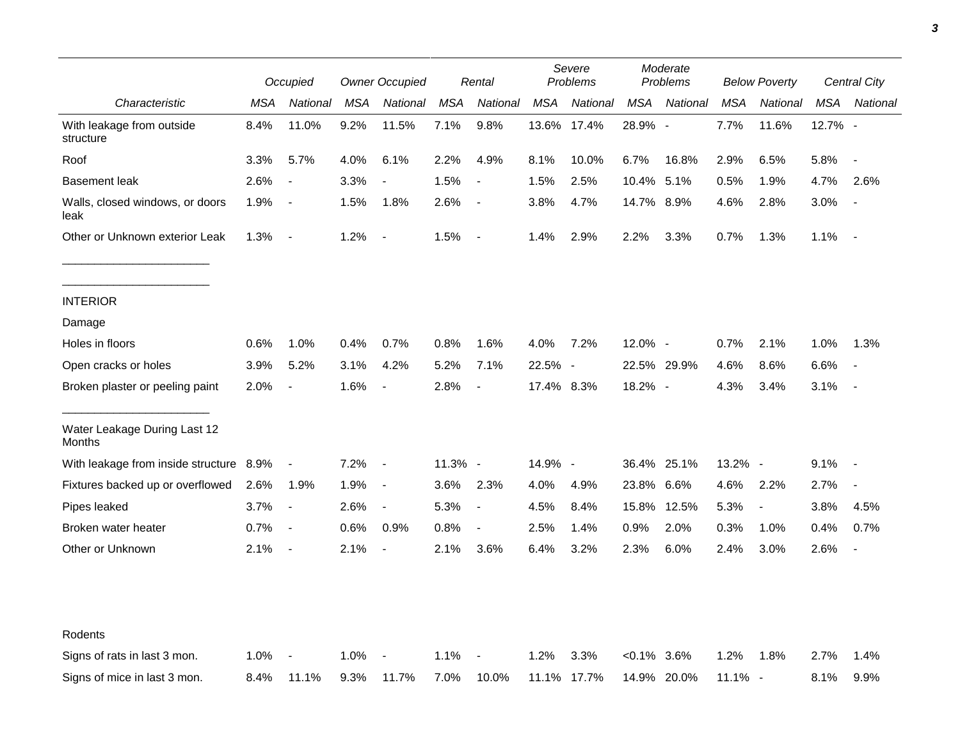|                                         |      | Occupied                 |      | <b>Owner Occupied</b>    |            | Rental                   |            | Severe<br>Problems |               | Moderate<br>Problems |            | <b>Below Poverty</b>     |            | Central City             |  |
|-----------------------------------------|------|--------------------------|------|--------------------------|------------|--------------------------|------------|--------------------|---------------|----------------------|------------|--------------------------|------------|--------------------------|--|
| Characteristic                          | MSA  | National                 | MSA  | National                 | <b>MSA</b> | National                 | <b>MSA</b> | National           | MSA           | National             | <b>MSA</b> | National                 | <b>MSA</b> | National                 |  |
| With leakage from outside<br>structure  | 8.4% | 11.0%                    | 9.2% | 11.5%                    | 7.1%       | 9.8%                     |            | 13.6% 17.4%        | 28.9% -       |                      | 7.7%       | 11.6%                    | 12.7% -    |                          |  |
| Roof                                    | 3.3% | 5.7%                     | 4.0% | 6.1%                     | 2.2%       | 4.9%                     | 8.1%       | 10.0%              | 6.7%          | 16.8%                | 2.9%       | 6.5%                     | 5.8%       | $\blacksquare$           |  |
| <b>Basement leak</b>                    | 2.6% | $\overline{\phantom{a}}$ | 3.3% | $\overline{\phantom{a}}$ | 1.5%       | $\overline{\phantom{a}}$ | 1.5%       | 2.5%               | 10.4%         | 5.1%                 | 0.5%       | 1.9%                     | 4.7%       | 2.6%                     |  |
| Walls, closed windows, or doors<br>leak | 1.9% | $\overline{\phantom{a}}$ | 1.5% | 1.8%                     | 2.6%       | $\blacksquare$           | 3.8%       | 4.7%               | 14.7% 8.9%    |                      | 4.6%       | 2.8%                     | 3.0%       |                          |  |
| Other or Unknown exterior Leak          | 1.3% | $\overline{\phantom{a}}$ | 1.2% | $\overline{\phantom{a}}$ | 1.5%       | $\blacksquare$           | 1.4%       | 2.9%               | 2.2%          | 3.3%                 | 0.7%       | 1.3%                     | 1.1%       | $\blacksquare$           |  |
| <b>INTERIOR</b>                         |      |                          |      |                          |            |                          |            |                    |               |                      |            |                          |            |                          |  |
| Damage                                  |      |                          |      |                          |            |                          |            |                    |               |                      |            |                          |            |                          |  |
| Holes in floors                         | 0.6% | 1.0%                     | 0.4% | 0.7%                     | 0.8%       | 1.6%                     | 4.0%       | 7.2%               | 12.0% -       |                      | 0.7%       | 2.1%                     | 1.0%       | 1.3%                     |  |
| Open cracks or holes                    | 3.9% | 5.2%                     | 3.1% | 4.2%                     | 5.2%       | 7.1%                     | 22.5% -    |                    |               | 22.5% 29.9%          | 4.6%       | 8.6%                     | 6.6%       | $\overline{\phantom{a}}$ |  |
| Broken plaster or peeling paint         | 2.0% | $\overline{\phantom{a}}$ | 1.6% | $\overline{\phantom{a}}$ | 2.8%       | $\overline{\phantom{a}}$ | 17.4% 8.3% |                    | 18.2% -       |                      | 4.3%       | 3.4%                     | 3.1%       | $\overline{\phantom{a}}$ |  |
| Water Leakage During Last 12<br>Months  |      |                          |      |                          |            |                          |            |                    |               |                      |            |                          |            |                          |  |
| With leakage from inside structure 8.9% |      | $\blacksquare$           | 7.2% | $\overline{\phantom{a}}$ | 11.3% -    |                          | 14.9% -    |                    |               | 36.4% 25.1%          | 13.2% -    |                          | 9.1%       | $\blacksquare$           |  |
| Fixtures backed up or overflowed        | 2.6% | 1.9%                     | 1.9% | $\overline{\phantom{a}}$ | 3.6%       | 2.3%                     | 4.0%       | 4.9%               | 23.8%         | 6.6%                 | 4.6%       | 2.2%                     | 2.7%       | $\blacksquare$           |  |
| Pipes leaked                            | 3.7% | $\blacksquare$           | 2.6% | $\overline{a}$           | 5.3%       | $\overline{\phantom{a}}$ | 4.5%       | 8.4%               | 15.8%         | 12.5%                | 5.3%       | $\overline{\phantom{a}}$ | 3.8%       | 4.5%                     |  |
| Broken water heater                     | 0.7% | $\overline{\phantom{a}}$ | 0.6% | 0.9%                     | 0.8%       | $\overline{\phantom{a}}$ | 2.5%       | 1.4%               | 0.9%          | 2.0%                 | 0.3%       | 1.0%                     | 0.4%       | 0.7%                     |  |
| Other or Unknown                        | 2.1% | $\overline{\phantom{a}}$ | 2.1% | $\overline{\phantom{a}}$ | 2.1%       | 3.6%                     | 6.4%       | 3.2%               | 2.3%          | 6.0%                 | 2.4%       | 3.0%                     | 2.6%       | $\overline{\phantom{a}}$ |  |
|                                         |      |                          |      |                          |            |                          |            |                    |               |                      |            |                          |            |                          |  |
| Rodents                                 |      |                          |      |                          |            |                          |            |                    |               |                      |            |                          |            |                          |  |
| Signs of rats in last 3 mon.            | 1.0% |                          | 1.0% |                          | 1.1%       |                          | 1.2%       | 3.3%               | $<0.1\%$ 3.6% |                      | 1.2%       | 1.8%                     | 2.7%       | 1.4%                     |  |
| Signs of mice in last 3 mon.            | 8.4% | 11.1%                    | 9.3% | 11.7%                    | 7.0%       | 10.0%                    |            | 11.1% 17.7%        |               | 14.9% 20.0%          | 11.1% -    |                          | 8.1%       | 9.9%                     |  |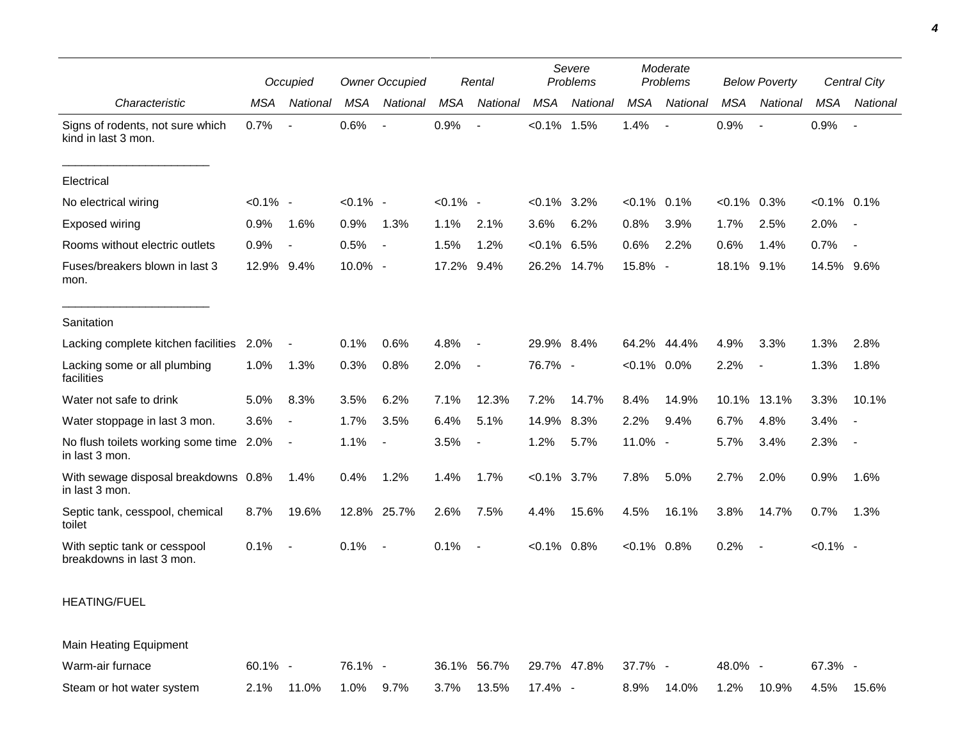|                                                           | Occupied    |                          | <b>Owner Occupied</b> |                          | Rental      |                          | Severe<br>Problems |             | Moderate<br>Problems |             | <b>Below Poverty</b> |                          | <b>Central City</b> |                          |
|-----------------------------------------------------------|-------------|--------------------------|-----------------------|--------------------------|-------------|--------------------------|--------------------|-------------|----------------------|-------------|----------------------|--------------------------|---------------------|--------------------------|
| Characteristic                                            | <b>MSA</b>  | National                 | <b>MSA</b>            | National                 | MSA         | National                 | <b>MSA</b>         | National    | <b>MSA</b>           | National    | <b>MSA</b>           | National                 | MSA                 | National                 |
| Signs of rodents, not sure which<br>kind in last 3 mon.   | 0.7%        |                          | 0.6%                  | $\overline{\phantom{a}}$ | 0.9%        |                          | $< 0.1\%$ 1.5%     |             | 1.4%                 |             | 0.9%                 |                          | 0.9%                | $\overline{\phantom{a}}$ |
| Electrical                                                |             |                          |                       |                          |             |                          |                    |             |                      |             |                      |                          |                     |                          |
| No electrical wiring                                      | $< 0.1\%$ - |                          | $< 0.1\%$ -           |                          | $< 0.1\%$ - |                          | $< 0.1\%$ 3.2%     |             | $< 0.1\%$ 0.1%       |             | $< 0.1\%$ 0.3%       |                          | $< 0.1\%$ 0.1%      |                          |
| Exposed wiring                                            | 0.9%        | 1.6%                     | 0.9%                  | 1.3%                     | 1.1%        | 2.1%                     | 3.6%               | 6.2%        | 0.8%                 | 3.9%        | 1.7%                 | 2.5%                     | 2.0%                | $\sim$                   |
| Rooms without electric outlets                            | 0.9%        | $\overline{\phantom{a}}$ | 0.5%                  | $\blacksquare$           | 1.5%        | 1.2%                     | $< 0.1\%$ 6.5%     |             | 0.6%                 | 2.2%        | 0.6%                 | 1.4%                     | 0.7%                | $\overline{\phantom{a}}$ |
| Fuses/breakers blown in last 3<br>mon.                    | 12.9% 9.4%  |                          | 10.0% -               |                          | 17.2% 9.4%  |                          |                    | 26.2% 14.7% | 15.8% -              |             | 18.1% 9.1%           |                          | 14.5% 9.6%          |                          |
| Sanitation                                                |             |                          |                       |                          |             |                          |                    |             |                      |             |                      |                          |                     |                          |
| Lacking complete kitchen facilities 2.0%                  |             | $\overline{\phantom{a}}$ | 0.1%                  | 0.6%                     | 4.8%        | $\sim$                   | 29.9% 8.4%         |             |                      | 64.2% 44.4% | 4.9%                 | 3.3%                     | 1.3%                | 2.8%                     |
| Lacking some or all plumbing<br>facilities                | 1.0%        | 1.3%                     | 0.3%                  | 0.8%                     | 2.0%        | $\overline{\phantom{a}}$ | 76.7% -            |             | $< 0.1\%$ 0.0%       |             | 2.2%                 | $\overline{\phantom{a}}$ | 1.3%                | 1.8%                     |
| Water not safe to drink                                   | 5.0%        | 8.3%                     | 3.5%                  | 6.2%                     | 7.1%        | 12.3%                    | 7.2%               | 14.7%       | 8.4%                 | 14.9%       | 10.1%                | 13.1%                    | 3.3%                | 10.1%                    |
| Water stoppage in last 3 mon.                             | 3.6%        | $\overline{\phantom{a}}$ | 1.7%                  | 3.5%                     | 6.4%        | 5.1%                     | 14.9%              | 8.3%        | 2.2%                 | 9.4%        | 6.7%                 | 4.8%                     | 3.4%                | $\overline{\phantom{a}}$ |
| No flush toilets working some time 2.0%<br>in last 3 mon. |             | $\overline{\phantom{a}}$ | 1.1%                  | $\overline{\phantom{a}}$ | 3.5%        | $\overline{\phantom{a}}$ | 1.2%               | 5.7%        | 11.0% -              |             | 5.7%                 | 3.4%                     | 2.3%                | $\sim$                   |
| With sewage disposal breakdowns 0.8%<br>in last 3 mon.    |             | 1.4%                     | 0.4%                  | 1.2%                     | 1.4%        | 1.7%                     | $< 0.1\%$ 3.7%     |             | 7.8%                 | 5.0%        | 2.7%                 | 2.0%                     | 0.9%                | 1.6%                     |
| Septic tank, cesspool, chemical<br>toilet                 | 8.7%        | 19.6%                    |                       | 12.8% 25.7%              | 2.6%        | 7.5%                     | 4.4%               | 15.6%       | 4.5%                 | 16.1%       | 3.8%                 | 14.7%                    | 0.7%                | 1.3%                     |
| With septic tank or cesspool<br>breakdowns in last 3 mon. | 0.1%        | $\overline{\phantom{a}}$ | 0.1%                  | $\overline{\phantom{a}}$ | 0.1%        | $\overline{\phantom{a}}$ | $< 0.1\%$ 0.8%     |             | $< 0.1\%$ 0.8%       |             | 0.2%                 | $\blacksquare$           | $< 0.1\%$ -         |                          |
| <b>HEATING/FUEL</b>                                       |             |                          |                       |                          |             |                          |                    |             |                      |             |                      |                          |                     |                          |
| Main Heating Equipment                                    |             |                          |                       |                          |             |                          |                    |             |                      |             |                      |                          |                     |                          |
| Warm-air furnace                                          | 60.1% -     |                          | 76.1% -               |                          |             | 36.1% 56.7%              |                    | 29.7% 47.8% | 37.7% -              |             | 48.0% -              |                          | 67.3% -             |                          |
| Steam or hot water system                                 | 2.1%        | 11.0%                    | 1.0%                  | 9.7%                     | 3.7%        | 13.5%                    | 17.4% -            |             | 8.9%                 | 14.0%       | 1.2%                 | 10.9%                    | 4.5%                | 15.6%                    |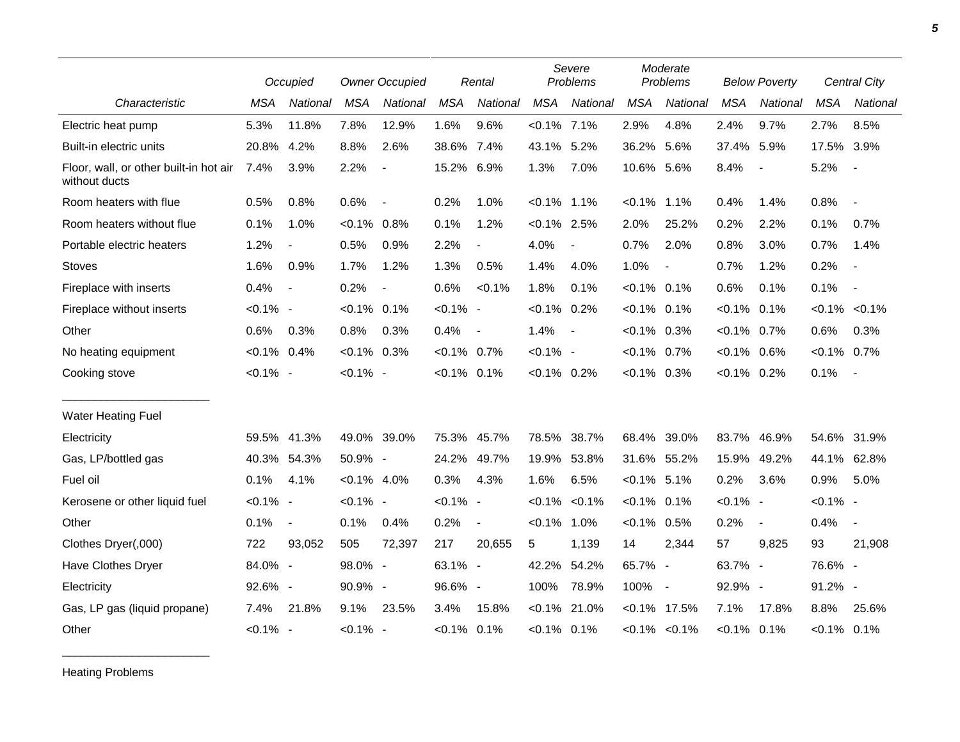|                                                         |             | Occupied                 | <b>Owner Occupied</b> |                          | Rental         |                | Severe<br>Problems |                          | Moderate<br>Problems |                     | <b>Below Poverty</b> |                          | Central City   |                          |
|---------------------------------------------------------|-------------|--------------------------|-----------------------|--------------------------|----------------|----------------|--------------------|--------------------------|----------------------|---------------------|----------------------|--------------------------|----------------|--------------------------|
| Characteristic                                          | <b>MSA</b>  | National                 | <b>MSA</b>            | National                 | <b>MSA</b>     | National       | <b>MSA</b>         | National                 | <b>MSA</b>           | National            | <b>MSA</b>           | National                 | <b>MSA</b>     | National                 |
| Electric heat pump                                      | 5.3%        | 11.8%                    | 7.8%                  | 12.9%                    | 1.6%           | 9.6%           | $< 0.1\%$ 7.1%     |                          | 2.9%                 | 4.8%                | 2.4%                 | 9.7%                     | 2.7%           | 8.5%                     |
| Built-in electric units                                 | 20.8%       | 4.2%                     | 8.8%                  | 2.6%                     | 38.6% 7.4%     |                | 43.1%              | 5.2%                     | 36.2%                | 5.6%                | 37.4%                | 5.9%                     | 17.5%          | 3.9%                     |
| Floor, wall, or other built-in hot air<br>without ducts | 7.4%        | 3.9%                     | 2.2%                  | $\overline{\phantom{a}}$ | 15.2% 6.9%     |                | 1.3%               | 7.0%                     | 10.6% 5.6%           |                     | 8.4%                 | $\overline{\phantom{a}}$ | 5.2%           | $\sim$                   |
| Room heaters with flue                                  | 0.5%        | 0.8%                     | 0.6%                  | $\overline{\phantom{a}}$ | 0.2%           | 1.0%           | $< 0.1\%$ 1.1%     |                          | $< 0.1\%$            | 1.1%                | 0.4%                 | 1.4%                     | 0.8%           | $\blacksquare$           |
| Room heaters without flue                               | 0.1%        | 1.0%                     | $< 0.1\%$ 0.8%        |                          | 0.1%           | 1.2%           | $< 0.1\%$ 2.5%     |                          | 2.0%                 | 25.2%               | 0.2%                 | 2.2%                     | 0.1%           | 0.7%                     |
| Portable electric heaters                               | 1.2%        | $\overline{\phantom{a}}$ | 0.5%                  | 0.9%                     | 2.2%           | $\blacksquare$ | 4.0%               | $\overline{a}$           | 0.7%                 | 2.0%                | 0.8%                 | 3.0%                     | 0.7%           | 1.4%                     |
| <b>Stoves</b>                                           | 1.6%        | 0.9%                     | 1.7%                  | 1.2%                     | 1.3%           | 0.5%           | 1.4%               | 4.0%                     | 1.0%                 | $\overline{a}$      | 0.7%                 | 1.2%                     | 0.2%           | $\overline{\phantom{a}}$ |
| Fireplace with inserts                                  | 0.4%        | $\overline{\phantom{a}}$ | 0.2%                  | $\overline{\phantom{a}}$ | 0.6%           | $< 0.1\%$      | 1.8%               | 0.1%                     | $< 0.1\%$            | 0.1%                | 0.6%                 | 0.1%                     | 0.1%           | $\overline{\phantom{a}}$ |
| Fireplace without inserts                               | $< 0.1\%$ - |                          | $< 0.1\%$ 0.1%        |                          | $< 0.1\%$ -    |                | $< 0.1\%$ 0.2%     |                          | $< 0.1\%$ 0.1%       |                     | $< 0.1\%$ 0.1%       |                          |                | $< 0.1\%$ $< 0.1\%$      |
| Other                                                   | 0.6%        | 0.3%                     | 0.8%                  | 0.3%                     | 0.4%           | $\blacksquare$ | 1.4%               | $\overline{\phantom{a}}$ | $< 0.1\%$ 0.3%       |                     | $< 0.1\%$ 0.7%       |                          | 0.6%           | 0.3%                     |
| No heating equipment                                    | $< 0.1\%$   | 0.4%                     | $< 0.1\%$ 0.3%        |                          | $< 0.1\%$ 0.7% |                | $< 0.1\%$ -        |                          | $< 0.1\%$ 0.7%       |                     | $< 0.1\%$ 0.6%       |                          | $< 0.1\%$ 0.7% |                          |
| Cooking stove                                           | $< 0.1\%$ - |                          | $< 0.1\%$ -           |                          | $< 0.1\%$ 0.1% |                | $< 0.1\%$ 0.2%     |                          | $< 0.1\%$ 0.3%       |                     | $< 0.1\%$ 0.2%       |                          | 0.1%           | $\sim$                   |
| <b>Water Heating Fuel</b>                               |             |                          |                       |                          |                |                |                    |                          |                      |                     |                      |                          |                |                          |
| Electricity                                             | 59.5%       | 41.3%                    | 49.0% 39.0%           |                          |                | 75.3% 45.7%    | 78.5%              | 38.7%                    | 68.4%                | 39.0%               | 83.7%                | 46.9%                    | 54.6% 31.9%    |                          |
| Gas, LP/bottled gas                                     | 40.3%       | 54.3%                    | 50.9% -               |                          | 24.2%          | 49.7%          | 19.9%              | 53.8%                    | 31.6%                | 55.2%               | 15.9%                | 49.2%                    | 44.1%          | 62.8%                    |
| Fuel oil                                                | 0.1%        | 4.1%                     | $< 0.1\%$ 4.0%        |                          | 0.3%           | 4.3%           | 1.6%               | 6.5%                     | $< 0.1\%$ 5.1%       |                     | 0.2%                 | 3.6%                     | 0.9%           | 5.0%                     |
| Kerosene or other liquid fuel                           | $< 0.1\%$ - |                          | $< 0.1\%$ -           |                          | $< 0.1\%$ -    |                | $< 0.1\%$          | < 0.1%                   | $< 0.1\%$ 0.1%       |                     | $< 0.1\%$ -          |                          | $< 0.1\%$ -    |                          |
| Other                                                   | 0.1%        | $\blacksquare$           | 0.1%                  | 0.4%                     | 0.2%           | $\blacksquare$ | $< 0.1\%$          | 1.0%                     | $< 0.1\%$            | 0.5%                | 0.2%                 | $\blacksquare$           | 0.4%           | $\blacksquare$           |
| Clothes Dryer(,000)                                     | 722         | 93,052                   | 505                   | 72,397                   | 217            | 20,655         | 5                  | 1,139                    | 14                   | 2,344               | 57                   | 9,825                    | 93             | 21,908                   |
| Have Clothes Dryer                                      | 84.0% -     |                          | 98.0% -               |                          | 63.1% -        |                | 42.2%              | 54.2%                    | 65.7% -              |                     | 63.7% -              |                          | 76.6% -        |                          |
| Electricity                                             | 92.6% -     |                          | 90.9% -               |                          | 96.6% -        |                | 100%               | 78.9%                    | 100%                 | $\sim$              | 92.9% -              |                          | 91.2% -        |                          |
| Gas, LP gas (liquid propane)                            | 7.4%        | 21.8%                    | 9.1%                  | 23.5%                    | 3.4%           | 15.8%          | $< 0.1\%$          | 21.0%                    | <0.1%                | 17.5%               | 7.1%                 | 17.8%                    | 8.8%           | 25.6%                    |
| Other                                                   | $< 0.1\%$ - |                          | $< 0.1\%$ -           |                          | $< 0.1\%$ 0.1% |                | $< 0.1\%$ 0.1%     |                          |                      | $< 0.1\%$ $< 0.1\%$ | $< 0.1\%$ 0.1%       |                          | $< 0.1\%$ 0.1% |                          |

Heating Problems

\_\_\_\_\_\_\_\_\_\_\_\_\_\_\_\_\_\_\_\_\_\_\_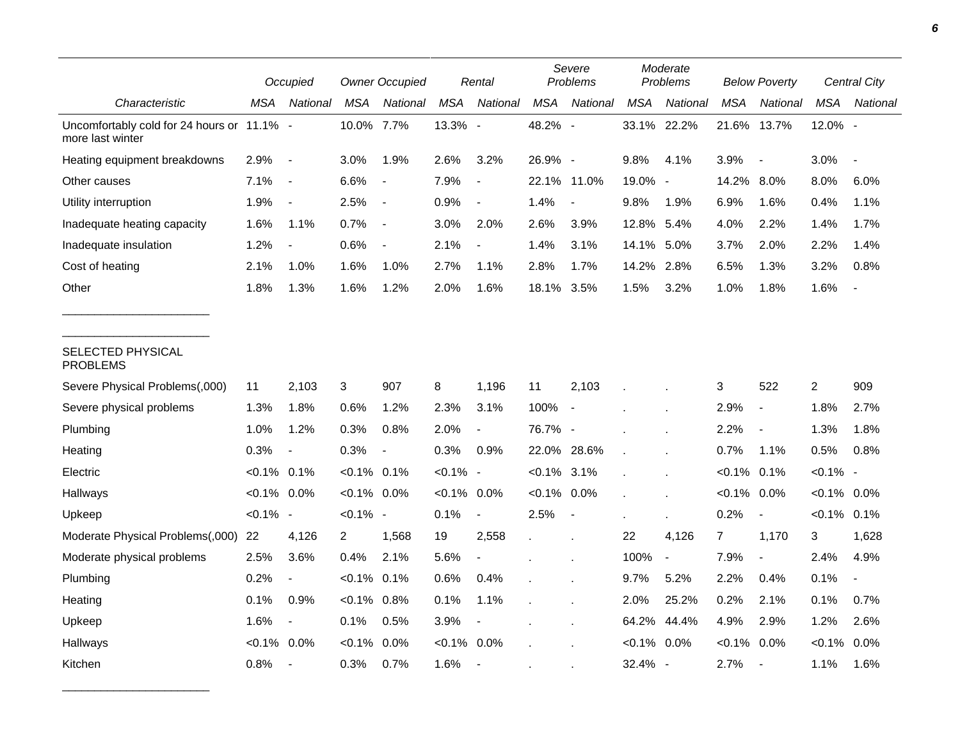|                                                                |                | Occupied                 | <b>Owner Occupied</b> |                          |            | Rental                   |                | Severe<br>Problems |                | Moderate<br>Problems |                | <b>Below Poverty</b>     |                | <b>Central City</b> |  |
|----------------------------------------------------------------|----------------|--------------------------|-----------------------|--------------------------|------------|--------------------------|----------------|--------------------|----------------|----------------------|----------------|--------------------------|----------------|---------------------|--|
| Characteristic                                                 | MSA            | National                 | <b>MSA</b>            | National                 | <b>MSA</b> | National                 | <b>MSA</b>     | National           | <b>MSA</b>     | National             | MSA            | <b>National</b>          | MSA            | National            |  |
| Uncomfortably cold for 24 hours or 11.1% -<br>more last winter |                |                          | 10.0%                 | 7.7%                     | 13.3% -    |                          | 48.2% -        |                    | 33.1% 22.2%    |                      | 21.6%          | 13.7%                    | 12.0% -        |                     |  |
| Heating equipment breakdowns                                   | 2.9%           | $\overline{\phantom{a}}$ | 3.0%                  | 1.9%                     | 2.6%       | 3.2%                     | 26.9% -        |                    | 9.8%           | 4.1%                 | 3.9%           | $\overline{\phantom{a}}$ | 3.0%           |                     |  |
| Other causes                                                   | 7.1%           | $\overline{\phantom{a}}$ | 6.6%                  |                          | 7.9%       | $\overline{\phantom{a}}$ | 22.1% 11.0%    |                    | 19.0% -        |                      | 14.2%          | $8.0\%$                  | 8.0%           | 6.0%                |  |
| Utility interruption                                           | 1.9%           | $\overline{\phantom{a}}$ | 2.5%                  | $\overline{\phantom{a}}$ | 0.9%       | $\blacksquare$           | 1.4%           |                    | 9.8%           | 1.9%                 | 6.9%           | 1.6%                     | 0.4%           | 1.1%                |  |
| Inadequate heating capacity                                    | 1.6%           | 1.1%                     | 0.7%                  | $\blacksquare$           | 3.0%       | 2.0%                     | 2.6%           | 3.9%               | 12.8% 5.4%     |                      | 4.0%           | 2.2%                     | 1.4%           | 1.7%                |  |
| Inadequate insulation                                          | 1.2%           | $\overline{\phantom{a}}$ | 0.6%                  | $\blacksquare$           | 2.1%       | $\blacksquare$           | 1.4%           | 3.1%               | 14.1%          | 5.0%                 | 3.7%           | 2.0%                     | 2.2%           | 1.4%                |  |
| Cost of heating                                                | 2.1%           | 1.0%                     | 1.6%                  | 1.0%                     | 2.7%       | 1.1%                     | 2.8%           | 1.7%               | 14.2%          | 2.8%                 | 6.5%           | 1.3%                     | 3.2%           | 0.8%                |  |
| Other                                                          | 1.8%           | 1.3%                     | 1.6%                  | 1.2%                     | 2.0%       | 1.6%                     | 18.1%          | 3.5%               | 1.5%           | 3.2%                 | 1.0%           | 1.8%                     | 1.6%           |                     |  |
| SELECTED PHYSICAL<br><b>PROBLEMS</b>                           |                |                          |                       |                          |            |                          |                |                    |                |                      |                |                          |                |                     |  |
| Severe Physical Problems(,000)                                 | 11             | 2,103                    | 3                     | 907                      | 8          | 1,196                    | 11             | 2,103              |                |                      | 3              | 522                      | $\overline{c}$ | 909                 |  |
| Severe physical problems                                       | 1.3%           | 1.8%                     | 0.6%                  | 1.2%                     | 2.3%       | 3.1%                     | 100%           |                    |                |                      | 2.9%           | $\overline{\phantom{a}}$ | 1.8%           | 2.7%                |  |
| Plumbing                                                       | 1.0%           | 1.2%                     | 0.3%                  | 0.8%                     | 2.0%       |                          | 76.7% -        |                    |                |                      | 2.2%           | $\overline{\phantom{a}}$ | 1.3%           | 1.8%                |  |
| Heating                                                        | 0.3%           | $\overline{\phantom{a}}$ | 0.3%                  | $\overline{\phantom{a}}$ | 0.3%       | 0.9%                     | 22.0% 28.6%    |                    |                |                      | 0.7%           | 1.1%                     | 0.5%           | 0.8%                |  |
| Electric                                                       | $< 0.1\%$ 0.1% |                          | $< 0.1\%$ 0.1%        |                          | $< 0.1\%$  | $\sim$                   | $< 0.1\%$ 3.1% |                    |                |                      | $< 0.1\%$ 0.1% |                          | $< 0.1\%$ -    |                     |  |
| Hallways                                                       | $< 0.1\%$ 0.0% |                          | $< 0.1\%$ 0.0%        |                          | $< 0.1\%$  | $0.0\%$                  | $< 0.1\%$ 0.0% |                    |                |                      | $< 0.1\%$      | 0.0%                     | $<0.1\%$ 0.0%  |                     |  |
| Upkeep                                                         | $< 0.1\%$ -    |                          | $< 0.1\%$ -           |                          | 0.1%       | $\blacksquare$           | 2.5%           | $\blacksquare$     |                |                      | 0.2%           | $\overline{\phantom{a}}$ | $< 0.1\%$ 0.1% |                     |  |
| Moderate Physical Problems(,000)                               | 22             | 4,126                    | 2                     | 1,568                    | 19         | 2,558                    |                |                    | 22             | 4,126                | $\overline{7}$ | 1,170                    | 3              | 1,628               |  |
| Moderate physical problems                                     | 2.5%           | 3.6%                     | 0.4%                  | 2.1%                     | 5.6%       | $\blacksquare$           |                |                    | 100%           | $\blacksquare$       | 7.9%           | $\blacksquare$           | 2.4%           | 4.9%                |  |
| Plumbing                                                       | 0.2%           |                          | $< 0.1\%$             | $0.1\%$                  | 0.6%       | 0.4%                     |                |                    | 9.7%           | 5.2%                 | 2.2%           | 0.4%                     | 0.1%           |                     |  |
| Heating                                                        | 0.1%           | 0.9%                     | $< 0.1\%$             | $0.8\%$                  | 0.1%       | 1.1%                     |                |                    | 2.0%           | 25.2%                | 0.2%           | 2.1%                     | 0.1%           | 0.7%                |  |
| Upkeep                                                         | 1.6%           | $\blacksquare$           | 0.1%                  | 0.5%                     | 3.9%       | $\overline{\phantom{a}}$ |                |                    | 64.2%          | 44.4%                | 4.9%           | 2.9%                     | 1.2%           | 2.6%                |  |
| Hallways                                                       | $< 0.1\%$ 0.0% |                          | $< 0.1\%$             | $0.0\%$                  | $< 0.1\%$  | 0.0%                     |                |                    | $< 0.1\%$ 0.0% |                      | $< 0.1\%$      | 0.0%                     | $< 0.1\%$      | $0.0\%$             |  |
| Kitchen                                                        | 0.8%           | $\overline{\phantom{a}}$ | 0.3%                  | 0.7%                     | 1.6%       | $\overline{\phantom{a}}$ |                |                    | $32.4\% -$     |                      | 2.7%           | $\blacksquare$           | 1.1%           | 1.6%                |  |

\_\_\_\_\_\_\_\_\_\_\_\_\_\_\_\_\_\_\_\_\_\_\_